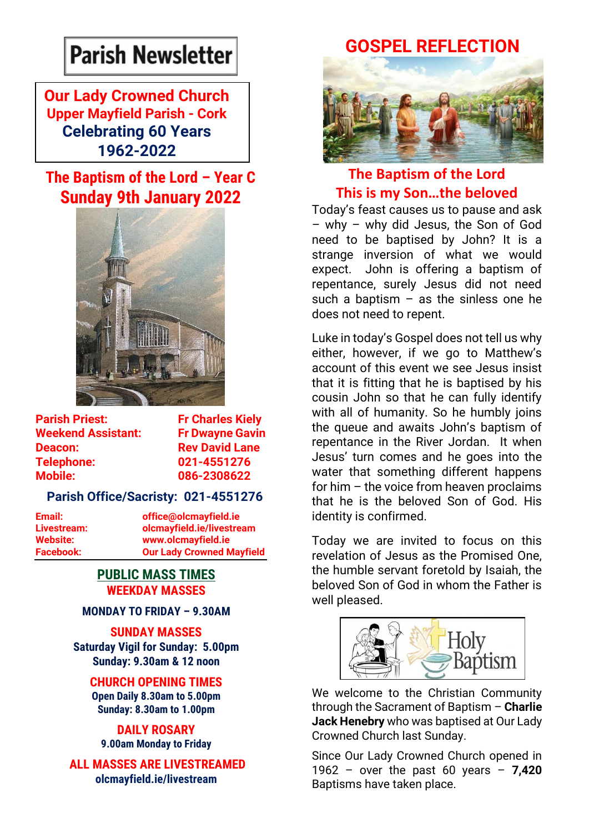# **Parish Newsletter**

### **Our Lady Crowned Church Upper Mayfield Parish - Cork Celebrating 60 Years 1962-2022**

### **The Baptism of the Lord – Year C Sunday 9th January 2022**



| <b>Parish Priest:</b>     |  |
|---------------------------|--|
| <b>Weekend Assistant:</b> |  |
| Deacon:                   |  |
| <b>Telephone:</b>         |  |
| <b>Mobile:</b>            |  |

**Fr Charles Kiely Fr Dwayne Gavin Rev David Lane Telephone: 021-4551276 Mobile: 086-2308622** 

### **Parish Office/Sacristy: 021-4551276**

**Email: office@olcmayfield.ie Livestream: olcmayfield.ie/livestream Website: www.olcmayfield.ie Facebook: Our Lady Crowned Mayfield**

### **PUBLIC MASS TIMES WEEKDAY MASSES**

### **MONDAY TO FRIDAY – 9.30AM**

**SUNDAY MASSES Saturday Vigil for Sunday: 5.00pm Sunday: 9.30am & 12 noon**

### **CHURCH OPENING TIMES**

**Open Daily 8.30am to 5.00pm Sunday: 8.30am to 1.00pm** 

#### **DAILY ROSARY 9.00am Monday to Friday**

**ALL MASSES ARE LIVESTREAMED olcmayfield.ie/livestream**

## **GOSPEL REFLECTION**



### **The Baptism of the Lord This is my Son…the beloved**

Today's feast causes us to pause and ask – why – why did Jesus, the Son of God need to be baptised by John? It is a strange inversion of what we would expect. John is offering a baptism of repentance, surely Jesus did not need such a baptism  $-$  as the sinless one he does not need to repent.

Luke in today's Gospel does not tell us why either, however, if we go to Matthew's account of this event we see Jesus insist that it is fitting that he is baptised by his cousin John so that he can fully identify with all of humanity. So he humbly joins the queue and awaits John's baptism of repentance in the River Jordan. It when Jesus' turn comes and he goes into the water that something different happens for him – the voice from heaven proclaims that he is the beloved Son of God. His identity is confirmed.

Today we are invited to focus on this revelation of Jesus as the Promised One, the humble servant foretold by Isaiah, the beloved Son of God in whom the Father is well pleased.



We welcome to the Christian Community through the Sacrament of Baptism – **Charlie Jack Henebry** who was baptised at Our Lady Crowned Church last Sunday.

Since Our Lady Crowned Church opened in 1962 – over the past 60 years – **7,420** Baptisms have taken place.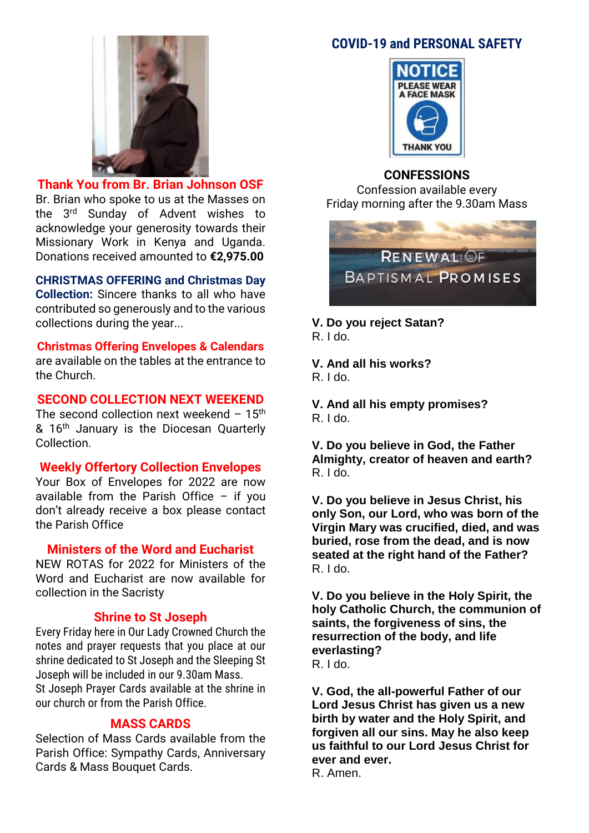

**Thank You from Br. Brian Johnson OSF** Br. Brian who spoke to us at the Masses on the 3rd Sunday of Advent wishes to acknowledge your generosity towards their Missionary Work in Kenya and Uganda. Donations received amounted to **€2,975.00**

**CHRISTMAS OFFERING and Christmas Day Collection:** Sincere thanks to all who have contributed so generously and to the various collections during the year...

### **Christmas Offering Envelopes & Calendars**

are available on the tables at the entrance to the Church.

### **SECOND COLLECTION NEXT WEEKEND**

The second collection next weekend  $-15$ <sup>th</sup> & 16<sup>th</sup> January is the Diocesan Quarterly Collection.

### **Weekly Offertory Collection Envelopes**

Your Box of Envelopes for 2022 are now available from the Parish Office – if you don't already receive a box please contact the Parish Office

### **Ministers of the Word and Eucharist**

NEW ROTAS for 2022 for Ministers of the Word and Eucharist are now available for collection in the Sacristy

#### **Shrine to St Joseph**

Every Friday here in Our Lady Crowned Church the notes and prayer requests that you place at our shrine dedicated to St Joseph and the Sleeping St Joseph will be included in our 9.30am Mass. St Joseph Prayer Cards available at the shrine in our church or from the Parish Office.

### **MASS CARDS**

Selection of Mass Cards available from the Parish Office: Sympathy Cards, Anniversary Cards & Mass Bouquet Cards.

### **COVID-19 and PERSONAL SAFETY**



#### **CONFESSIONS**

Confession available every Friday morning after the 9.30am Mass



**V. Do you reject Satan?** R. I do.

**V. And all his works?** R. I do.

**V. And all his empty promises?** R. I do.

**V. Do you believe in God, the Father Almighty, creator of heaven and earth?** R. I do.

**V. Do you believe in Jesus Christ, his only Son, our Lord, who was born of the Virgin Mary was crucified, died, and was buried, rose from the dead, and is now seated at the right hand of the Father?** R. I do.

**V. Do you believe in the Holy Spirit, the holy Catholic Church, the communion of saints, the forgiveness of sins, the resurrection of the body, and life everlasting?** R. I do.

**V. God, the all-powerful Father of our Lord Jesus Christ has given us a new birth by water and the Holy Spirit, and forgiven all our sins. May he also keep us faithful to our Lord Jesus Christ for ever and ever.** R. Amen.